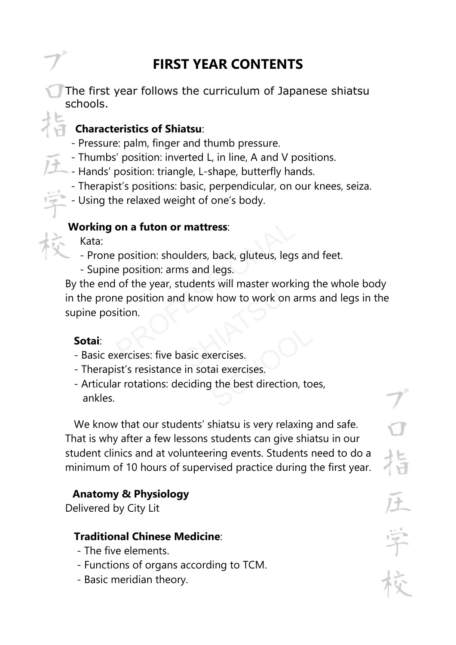# **FIRST YEAR CONTENTS**

The first year follows the curriculum of Japanese shiatsu schools.

## **Characteristics of Shiatsu**:

- Pressure: palm, finger and thumb pressure.
- Thumbs' position: inverted L, in line, A and V positions.
- Hands' position: triangle, L-shape, butterfly hands.
- Therapist's positions: basic, perpendicular, on our knees, seiza.
- Using the relaxed weight of one's body.

#### **Working on a futon or mattress**:

Kata:

- Prone position: shoulders, back, gluteus, legs and feet.
- Supine position: arms and legs.

By the end of the year, students will master working the whole body in the prone position and know how to work on arms and legs in the supine position.

#### **Sotai**:

- Basic exercises: five basic exercises.
- Therapist's resistance in sotai exercises.
- Articular rotations: deciding the best direction, toes, ankles.

 We know that our students' shiatsu is very relaxing and safe. That is why after a few lessons students can give shiatsu in our student clinics and at volunteering events. Students need to do a minimum of 10 hours of supervised practice during the first year.

## **Anatomy & Physiology**

Delivered by City Lit

#### **Traditional Chinese Medicine**:

- The five elements.
- Functions of organs according to TCM.
- Basic meridian theory.

늡